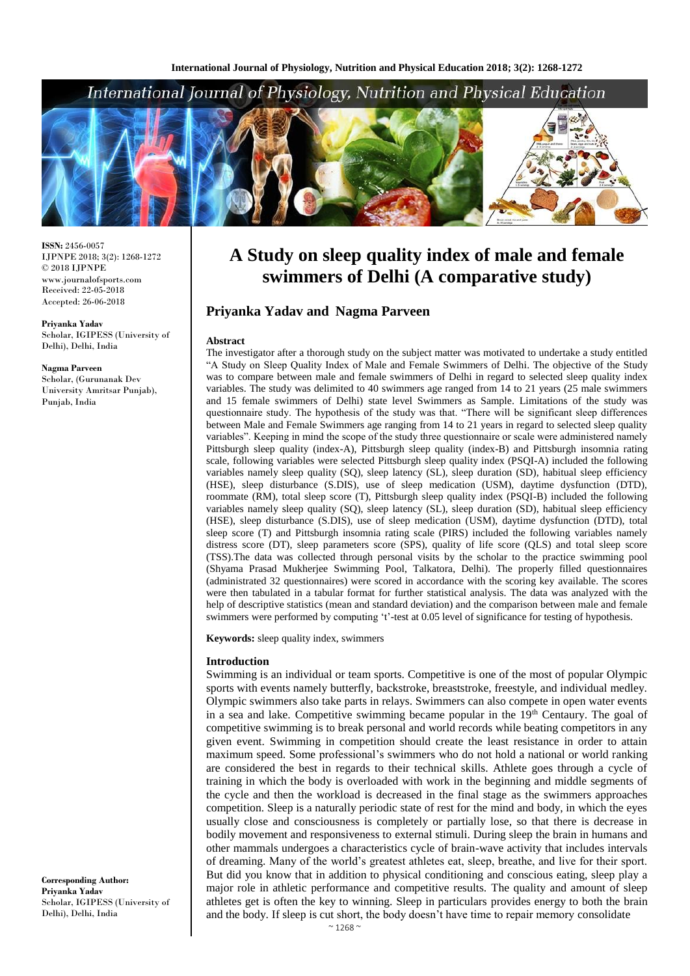

**ISSN:** 2456-0057 IJPNPE 2018; 3(2): 1268-1272  $\odot$  2018 IJPNPE www.journalofsports.com Received: 22-05-2018 Accepted: 26-06-2018

**Priyanka Yadav** Scholar, IGIPESS (University of Delhi), Delhi, India

**Nagma Parveen**

Scholar, (Gurunanak Dev University Amritsar Punjab), Punjab, India

**Corresponding Author: Priyanka Yadav** Scholar, IGIPESS (University of Delhi), Delhi, India

# **A Study on sleep quality index of male and female swimmers of Delhi (A comparative study)**

# **Priyanka Yadav and Nagma Parveen**

#### **Abstract**

The investigator after a thorough study on the subject matter was motivated to undertake a study entitled "A Study on Sleep Quality Index of Male and Female Swimmers of Delhi. The objective of the Study was to compare between male and female swimmers of Delhi in regard to selected sleep quality index variables. The study was delimited to 40 swimmers age ranged from 14 to 21 years (25 male swimmers and 15 female swimmers of Delhi) state level Swimmers as Sample. Limitations of the study was questionnaire study. The hypothesis of the study was that. "There will be significant sleep differences between Male and Female Swimmers age ranging from 14 to 21 years in regard to selected sleep quality variables". Keeping in mind the scope of the study three questionnaire or scale were administered namely Pittsburgh sleep quality (index-A), Pittsburgh sleep quality (index-B) and Pittsburgh insomnia rating scale, following variables were selected Pittsburgh sleep quality index (PSQI-A) included the following variables namely sleep quality (SQ), sleep latency (SL), sleep duration (SD), habitual sleep efficiency (HSE), sleep disturbance (S.DIS), use of sleep medication (USM), daytime dysfunction (DTD), roommate (RM), total sleep score (T), Pittsburgh sleep quality index (PSQI-B) included the following variables namely sleep quality (SQ), sleep latency (SL), sleep duration (SD), habitual sleep efficiency (HSE), sleep disturbance (S.DIS), use of sleep medication (USM), daytime dysfunction (DTD), total sleep score (T) and Pittsburgh insomnia rating scale (PIRS) included the following variables namely distress score (DT), sleep parameters score (SPS), quality of life score (QLS) and total sleep score (TSS).The data was collected through personal visits by the scholar to the practice swimming pool (Shyama Prasad Mukherjee Swimming Pool, Talkatora, Delhi). The properly filled questionnaires (administrated 32 questionnaires) were scored in accordance with the scoring key available. The scores were then tabulated in a tabular format for further statistical analysis. The data was analyzed with the help of descriptive statistics (mean and standard deviation) and the comparison between male and female swimmers were performed by computing 't'-test at 0.05 level of significance for testing of hypothesis.

**Keywords:** sleep quality index, swimmers

#### **Introduction**

Swimming is an individual or team sports. Competitive is one of the most of popular Olympic sports with events namely butterfly, backstroke, breaststroke, freestyle, and individual medley. Olympic swimmers also take parts in relays. Swimmers can also compete in open water events in a sea and lake. Competitive swimming became popular in the  $19<sup>th</sup>$  Centaury. The goal of competitive swimming is to break personal and world records while beating competitors in any given event. Swimming in competition should create the least resistance in order to attain maximum speed. Some professional's swimmers who do not hold a national or world ranking are considered the best in regards to their technical skills. Athlete goes through a cycle of training in which the body is overloaded with work in the beginning and middle segments of the cycle and then the workload is decreased in the final stage as the swimmers approaches competition. Sleep is a naturally periodic state of rest for the mind and body, in which the eyes usually close and consciousness is completely or partially lose, so that there is decrease in bodily movement and responsiveness to external stimuli. During sleep the brain in humans and other mammals undergoes a characteristics cycle of brain-wave activity that includes intervals of dreaming. Many of the world's greatest athletes eat, sleep, breathe, and live for their sport. But did you know that in addition to physical conditioning and conscious eating, sleep play a major role in athletic performance and competitive results. The quality and amount of sleep athletes get is often the key to winning. Sleep in particulars provides energy to both the brain and the body. If sleep is cut short, the body doesn't have time to repair memory consolidate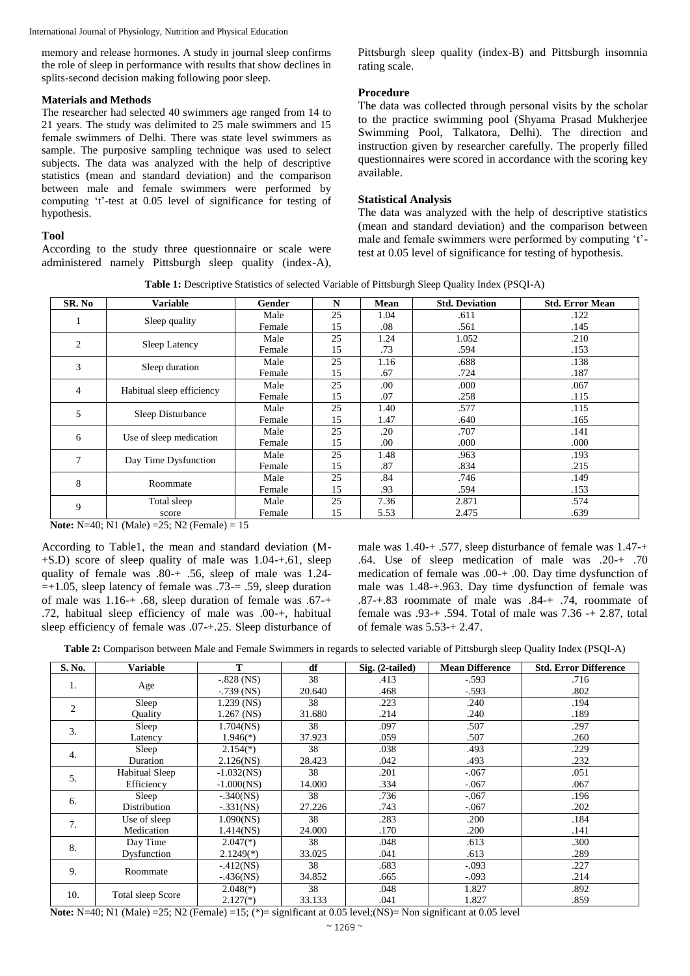memory and release hormones. A study in journal sleep confirms the role of sleep in performance with results that show declines in splits-second decision making following poor sleep.

#### **Materials and Methods**

The researcher had selected 40 swimmers age ranged from 14 to 21 years. The study was delimited to 25 male swimmers and 15 female swimmers of Delhi. There was state level swimmers as sample. The purposive sampling technique was used to select subjects. The data was analyzed with the help of descriptive statistics (mean and standard deviation) and the comparison between male and female swimmers were performed by computing 't'-test at 0.05 level of significance for testing of hypothesis.

# **Tool**

According to the study three questionnaire or scale were administered namely Pittsburgh sleep quality (index-A), Pittsburgh sleep quality (index-B) and Pittsburgh insomnia rating scale.

# **Procedure**

The data was collected through personal visits by the scholar to the practice swimming pool (Shyama Prasad Mukherjee Swimming Pool, Talkatora, Delhi). The direction and instruction given by researcher carefully. The properly filled questionnaires were scored in accordance with the scoring key available.

# **Statistical Analysis**

The data was analyzed with the help of descriptive statistics (mean and standard deviation) and the comparison between male and female swimmers were performed by computing 't' test at 0.05 level of significance for testing of hypothesis.

**Table 1:** Descriptive Statistics of selected Variable of Pittsburgh Sleep Quality Index (PSQI-A)

| SR. No         | <b>Variable</b>           | Gender | N  | Mean | <b>Std. Deviation</b> | <b>Std. Error Mean</b> |
|----------------|---------------------------|--------|----|------|-----------------------|------------------------|
|                |                           | Male   | 25 | 1.04 | .611                  | .122                   |
|                | Sleep quality             | Female | 15 | .08  | .561                  | .145                   |
| $\overline{c}$ | Sleep Latency             | Male   | 25 | 1.24 | 1.052                 | .210                   |
|                |                           | Female | 15 | .73  | .594                  | .153                   |
| 3              | Sleep duration            | Male   | 25 | 1.16 | .688                  | .138                   |
|                |                           | Female | 15 | .67  | .724                  | .187                   |
| $\overline{4}$ | Habitual sleep efficiency | Male   | 25 | .00. | .000                  | .067                   |
|                |                           | Female | 15 | .07  | .258                  | .115                   |
| 5              | Sleep Disturbance         | Male   | 25 | 1.40 | .577                  | .115                   |
|                |                           | Female | 15 | 1.47 | .640                  | .165                   |
| 6              | Use of sleep medication   | Male   | 25 | .20  | .707                  | .141                   |
|                |                           | Female | 15 | .00. | .000                  | .000                   |
| 7              | Day Time Dysfunction      | Male   | 25 | 1.48 | .963                  | .193                   |
|                |                           | Female | 15 | .87  | .834                  | .215                   |
| 8              | Roommate                  | Male   | 25 | .84  | .746                  | .149                   |
|                |                           | Female | 15 | .93  | .594                  | .153                   |
| 9              | Total sleep               | Male   | 25 | 7.36 | 2.871                 | .574                   |
|                | score                     | Female | 15 | 5.53 | 2.475                 | .639                   |

**Note:** N=40; N1 (Male) =25; N2 (Female) = 15

According to Table1, the mean and standard deviation (M- +S.D) score of sleep quality of male was 1.04-+.61, sleep quality of female was .80-+ .56, sleep of male was 1.24-  $=+1.05$ , sleep latency of female was .73 $=$  .59, sleep duration of male was 1.16-+ .68, sleep duration of female was .67-+ .72, habitual sleep efficiency of male was .00-+, habitual sleep efficiency of female was .07-+.25. Sleep disturbance of male was 1.40-+ .577, sleep disturbance of female was 1.47-+ .64. Use of sleep medication of male was .20-+ .70 medication of female was .00-+ .00. Day time dysfunction of male was 1.48-+.963. Day time dysfunction of female was .87-+.83 roommate of male was .84-+ .74, roommate of female was .93-+ .594. Total of male was 7.36 -+ 2.87, total of female was 5.53-+ 2.47.

| S. No.         | <b>Variable</b>   | T             | df     | $Sig. (2-tailed)$ | <b>Mean Difference</b> | <b>Std. Error Difference</b> |
|----------------|-------------------|---------------|--------|-------------------|------------------------|------------------------------|
| 1.             | Age               | $-.828$ (NS)  | 38     | .413              | $-.593$                | .716                         |
|                |                   | $-.739$ (NS)  | 20.640 | .468              | $-.593$                | .802                         |
|                | Sleep             | 1.239 (NS)    | 38     | .223              | .240                   | .194                         |
| $\overline{c}$ | Quality           | 1.267 (NS)    | 31.680 | .214              | .240                   | .189                         |
| 3.             | Sleep             | 1.704(NS)     | 38     | .097              | .507                   | .297                         |
|                | Latency           | $1.946(*)$    | 37.923 | .059              | .507                   | .260                         |
| 4.             | Sleep             | $2.154(*)$    | 38     | .038              | .493                   | .229                         |
|                | Duration          | $2.126$ (NS)  | 28.423 | .042              | .493                   | .232                         |
| 5.             | Habitual Sleep    | $-1.032$ (NS) | 38     | .201              | $-.067$                | .051                         |
|                | Efficiency        | $-1.000(NS)$  | 14.000 | .334              | $-.067$                | .067                         |
|                | Sleep             | $-.340(NS)$   | 38     | .736              | $-.067$                | .196                         |
| 6.             | Distribution      | $-.331(NS)$   | 27.226 | .743              | $-.067$                | .202                         |
| 7.             | Use of sleep      | 1.090(NS)     | 38     | .283              | .200                   | .184                         |
|                | Medication        | $1.414$ (NS)  | 24.000 | .170              | .200                   | .141                         |
| 8.             | Day Time          | $2.047(*)$    | 38     | .048              | .613                   | .300                         |
|                | Dysfunction       | $2.1249(*)$   | 33.025 | .041              | .613                   | .289                         |
| 9.             | Roommate          | $-.412$ (NS)  | 38     | .683              | $-.093$                | .227                         |
|                |                   | $-.436$ (NS)  | 34.852 | .665              | $-.093$                | .214                         |
|                |                   | $2.048(*)$    | 38     | .048              | 1.827                  | .892                         |
| 10.            | Total sleep Score | $2.127(*)$    | 33.133 | .041              | 1.827                  | .859                         |

**Note:** N=40; N1 (Male) =25; N2 (Female) =15; (\*)= significant at 0.05 level;(NS)= Non significant at 0.05 level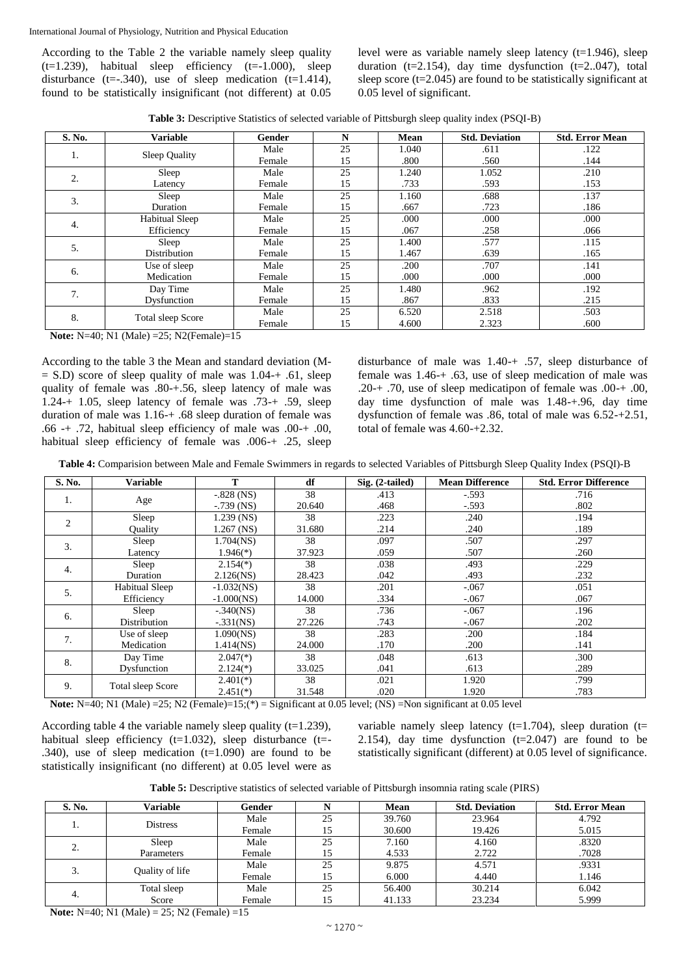According to the Table 2 the variable namely sleep quality (t=1.239), habitual sleep efficiency (t=-1.000), sleep disturbance (t= $-0.340$ ), use of sleep medication (t= $1.414$ ), found to be statistically insignificant (not different) at 0.05 level were as variable namely sleep latency (t=1.946), sleep duration ( $t=2.154$ ), day time dysfunction ( $t=2.047$ ), total sleep score  $(t=2.045)$  are found to be statistically significant at 0.05 level of significant.

**Table 3:** Descriptive Statistics of selected variable of Pittsburgh sleep quality index (PSQI-B)

| S. No. | <b>Variable</b>   | Gender | N  | Mean  | <b>Std. Deviation</b> | <b>Std. Error Mean</b> |
|--------|-------------------|--------|----|-------|-----------------------|------------------------|
|        | Sleep Quality     | Male   | 25 | 1.040 | .611                  | .122                   |
| 1.     |                   | Female | 15 | .800  | .560                  | .144                   |
| 2.     | Sleep             | Male   | 25 | 1.240 | 1.052                 | .210                   |
|        | Latency           | Female | 15 | .733  | .593                  | .153                   |
| 3.     | Sleep             | Male   | 25 | 1.160 | .688                  | .137                   |
|        | Duration          | Female | 15 | .667  | .723                  | .186                   |
|        | Habitual Sleep    | Male   | 25 | .000  | .000                  | .000                   |
| 4.     | Efficiency        | Female | 15 | .067  | .258                  | .066                   |
|        | Sleep             | Male   | 25 | 1.400 | .577                  | .115                   |
| 5.     | Distribution      | Female | 15 | 1.467 | .639                  | .165                   |
|        | Use of sleep      | Male   | 25 | .200  | .707                  | .141                   |
| 6.     | Medication        | Female | 15 | .000  | .000                  | .000                   |
| 7.     | Day Time          | Male   | 25 | 1.480 | .962                  | .192                   |
|        | Dysfunction       | Female | 15 | .867  | .833                  | .215                   |
| 8.     | Total sleep Score | Male   | 25 | 6.520 | 2.518                 | .503                   |
|        |                   | Female | 15 | 4.600 | 2.323                 | .600                   |

**Note:** N=40; N1 (Male) =25; N2(Female)=15

According to the table 3 the Mean and standard deviation (M-  $=$  S.D) score of sleep quality of male was 1.04-+ .61, sleep quality of female was .80-+.56, sleep latency of male was  $1.24-+1.05$ , sleep latency of female was  $.73-+ .59$ , sleep duration of male was 1.16-+ .68 sleep duration of female was .66 -+ .72, habitual sleep efficiency of male was .00-+ .00, habitual sleep efficiency of female was .006-+ .25, sleep disturbance of male was 1.40-+ .57, sleep disturbance of female was 1.46-+ .63, use of sleep medication of male was  $.20-+$ .70, use of sleep medicatipon of female was  $.00-+$ .00, day time dysfunction of male was 1.48-+.96, day time dysfunction of female was .86, total of male was 6.52-+2.51, total of female was 4.60-+2.32.

**Table 4:** Comparision between Male and Female Swimmers in regards to selected Variables of Pittsburgh Sleep Quality Index (PSQI)-B

| S. No. | <b>Variable</b>       | т             | df     | $Sig. (2-tailed)$ | <b>Mean Difference</b> | <b>Std. Error Difference</b> |
|--------|-----------------------|---------------|--------|-------------------|------------------------|------------------------------|
| 1.     |                       | $-.828$ (NS)  | 38     | .413              | $-.593$                | .716                         |
|        | Age                   | $-.739$ (NS)  | 20.640 | .468              | $-.593$                | .802                         |
| 2      | Sleep                 | $1.239$ (NS)  | 38     | .223              | .240                   | .194                         |
|        | Ouality               | $1.267$ (NS)  | 31.680 | .214              | .240                   | .189                         |
| 3.     | Sleep                 | $1.704$ (NS)  | 38     | .097              | .507                   | .297                         |
|        | Latency               | $1.946(*)$    | 37.923 | .059              | .507                   | .260                         |
| 4.     | Sleep                 | $2.154(*)$    | 38     | .038              | .493                   | .229                         |
|        | Duration              | 2.126(NS)     | 28.423 | .042              | .493                   | .232                         |
| 5.     | <b>Habitual Sleep</b> | $-1.032$ (NS) | 38     | .201              | $-.067$                | .051                         |
|        | Efficiency            | $-1.000(NS)$  | 14.000 | .334              | $-.067$                | .067                         |
| 6.     | Sleep                 | $-.340(NS)$   | 38     | .736              | $-.067$                | .196                         |
|        | Distribution          | $-.331(NS)$   | 27.226 | .743              | $-.067$                | .202                         |
| 7.     | Use of sleep          | 1.090(NS)     | 38     | .283              | .200                   | .184                         |
|        | Medication            | 1.414(NS)     | 24.000 | .170              | .200                   | .141                         |
| 8.     | Day Time              | $2.047(*)$    | 38     | .048              | .613                   | .300                         |
|        | Dysfunction           | $2.124(*)$    | 33.025 | .041              | .613                   | .289                         |
| 9.     | Total sleep Score     | $2.401(*)$    | 38     | .021              | 1.920                  | .799                         |
|        |                       | $2.451(*)$    | 31.548 | .020              | 1.920                  | .783                         |

**Note:** N=40; N1 (Male) =25; N2 (Female)=15;(\*) = Significant at 0.05 level; (NS) =Non significant at 0.05 level

According table 4 the variable namely sleep quality  $(t=1.239)$ , habitual sleep efficiency (t=1.032), sleep disturbance (t=-.340), use of sleep medication  $(t=1.090)$  are found to be statistically insignificant (no different) at 0.05 level were as variable namely sleep latency  $(t=1.704)$ , sleep duration  $(t=$ 2.154), day time dysfunction  $(t=2.047)$  are found to be statistically significant (different) at 0.05 level of significance.

**Table 5:** Descriptive statistics of selected variable of Pittsburgh insomnia rating scale (PIRS)

| S. No. | <b>Variable</b> | Gender |    | <b>Mean</b> | <b>Std. Deviation</b> | <b>Std. Error Mean</b> |
|--------|-----------------|--------|----|-------------|-----------------------|------------------------|
|        | <b>Distress</b> | Male   | 25 | 39.760      | 23.964                | 4.792                  |
| ı.     |                 | Female |    | 30.600      | 19.426                | 5.015                  |
|        | Sleep           | Male   | 25 | 7.160       | 4.160                 | .8320                  |
| ۷.     | Parameters      | Female |    | 4.533       | 2.722                 | .7028                  |
|        |                 | Male   | 25 | 9.875       | 4.571                 | .9331                  |
|        | Quality of life | Female |    | 6.000       | 4.440                 | 1.146                  |
| 4.     | Total sleep     | Male   | 25 | 56.400      | 30.214                | 6.042                  |
|        | Score           | Female |    | 41.133      | 23.234                | 5.999                  |

**Note:** N=40; N1 (Male) = 25; N2 (Female) =15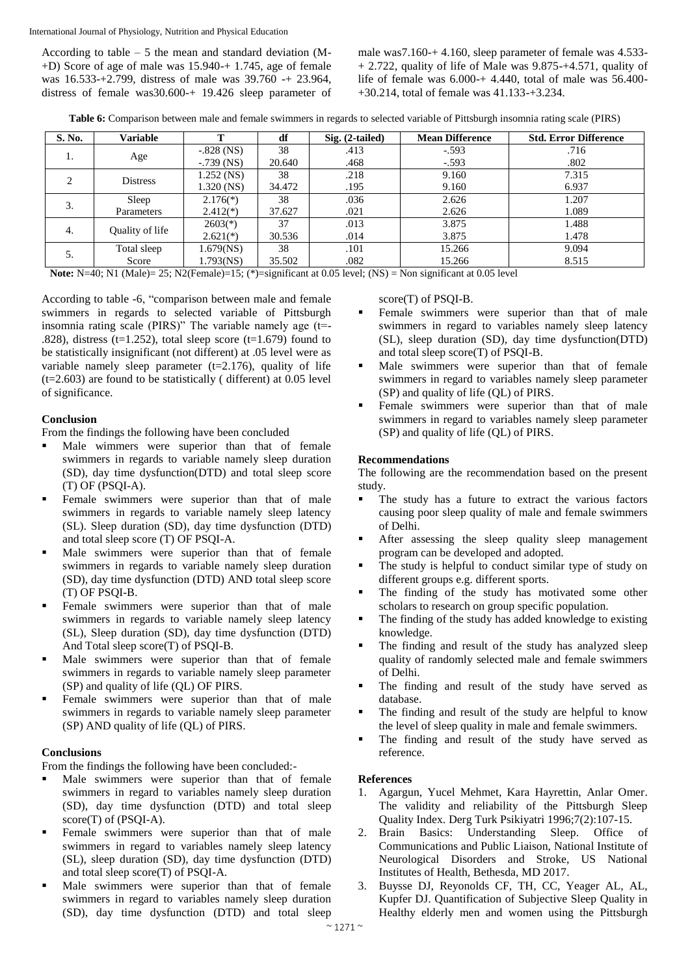According to table  $-5$  the mean and standard deviation (M-+D) Score of age of male was 15.940-+ 1.745, age of female was 16.533-+2.799, distress of male was 39.760 -+ 23.964, distress of female was30.600-+ 19.426 sleep parameter of male was7.160-+ 4.160, sleep parameter of female was 4.533- + 2.722, quality of life of Male was 9.875-+4.571, quality of life of female was 6.000-+ 4.440, total of male was 56.400- +30.214, total of female was 41.133-+3.234.

**Table 6:** Comparison between male and female swimmers in regards to selected variable of Pittsburgh insomnia rating scale (PIRS)

| S. No. | Variable        |              | df     | $Sig. (2-tailed)$ | <b>Mean Difference</b> | <b>Std. Error Difference</b> |
|--------|-----------------|--------------|--------|-------------------|------------------------|------------------------------|
| ı.     | Age             | $-.828$ (NS) | 38     | .413              | $-.593$                | .716                         |
|        |                 | $-.739$ (NS) | 20.640 | .468              | $-.593$                | .802                         |
| ↑      |                 | 1.252 (NS)   | 38     | .218              | 9.160                  | 7.315                        |
|        | <b>Distress</b> | 1.320 (NS)   | 34.472 | .195              | 9.160                  | 6.937                        |
| 3.     | Sleep           | $2.176(*)$   | 38     | .036              | 2.626                  | 1.207                        |
|        | Parameters      | $2.412(*)$   | 37.627 | .021              | 2.626                  | 1.089                        |
| 4.     | Quality of life | $2603(*)$    | 37     | .013              | 3.875                  | 1.488                        |
|        |                 | $2.621(*)$   | 30.536 | .014              | 3.875                  | 1.478                        |
| 5.     | Total sleep     | 1.679(NS)    | 38     | .101              | 15.266                 | 9.094                        |
|        | Score           | 1.793(NS)    | 35.502 | .082              | 15.266                 | 8.515                        |

**Note:** N=40; N1 (Male)= 25; N2(Female)=15; (\*)=significant at 0.05 level; (NS) = Non significant at 0.05 level

According to table -6, "comparison between male and female swimmers in regards to selected variable of Pittsburgh insomnia rating scale (PIRS)" The variable namely age (t=- .828), distress  $(t=1.252)$ , total sleep score  $(t=1.679)$  found to be statistically insignificant (not different) at .05 level were as variable namely sleep parameter  $(t=2.176)$ , quality of life (t=2.603) are found to be statistically ( different) at 0.05 level of significance.

# **Conclusion**

From the findings the following have been concluded

- Male wimmers were superior than that of female swimmers in regards to variable namely sleep duration (SD), day time dysfunction(DTD) and total sleep score (T) OF (PSQI-A).
- Female swimmers were superior than that of male swimmers in regards to variable namely sleep latency (SL). Sleep duration (SD), day time dysfunction (DTD) and total sleep score (T) OF PSQI-A.
- Male swimmers were superior than that of female swimmers in regards to variable namely sleep duration (SD), day time dysfunction (DTD) AND total sleep score (T) OF PSQI-B.
- Female swimmers were superior than that of male swimmers in regards to variable namely sleep latency (SL), Sleep duration (SD), day time dysfunction (DTD) And Total sleep score(T) of PSQI-B.
- Male swimmers were superior than that of female swimmers in regards to variable namely sleep parameter (SP) and quality of life (QL) OF PIRS.
- Female swimmers were superior than that of male swimmers in regards to variable namely sleep parameter (SP) AND quality of life (QL) of PIRS.

# **Conclusions**

From the findings the following have been concluded:-

- Male swimmers were superior than that of female swimmers in regard to variables namely sleep duration (SD), day time dysfunction (DTD) and total sleep score(T) of (PSQI-A).
- Female swimmers were superior than that of male swimmers in regard to variables namely sleep latency (SL), sleep duration (SD), day time dysfunction (DTD) and total sleep score(T) of PSQI-A.
- Male swimmers were superior than that of female swimmers in regard to variables namely sleep duration (SD), day time dysfunction (DTD) and total sleep

score(T) of PSQI-B.

- Female swimmers were superior than that of male swimmers in regard to variables namely sleep latency (SL), sleep duration (SD), day time dysfunction(DTD) and total sleep score(T) of PSQI-B.
- Male swimmers were superior than that of female swimmers in regard to variables namely sleep parameter (SP) and quality of life (QL) of PIRS.
- Female swimmers were superior than that of male swimmers in regard to variables namely sleep parameter (SP) and quality of life (QL) of PIRS.

# **Recommendations**

The following are the recommendation based on the present study.

- The study has a future to extract the various factors causing poor sleep quality of male and female swimmers of Delhi.
- After assessing the sleep quality sleep management program can be developed and adopted.
- The study is helpful to conduct similar type of study on different groups e.g. different sports.
- The finding of the study has motivated some other scholars to research on group specific population.
- The finding of the study has added knowledge to existing knowledge.
- The finding and result of the study has analyzed sleep quality of randomly selected male and female swimmers of Delhi.
- The finding and result of the study have served as database.
- The finding and result of the study are helpful to know the level of sleep quality in male and female swimmers.
- The finding and result of the study have served as reference.

#### **References**

- 1. Agargun, Yucel Mehmet, Kara Hayrettin, Anlar Omer. The validity and reliability of the Pittsburgh Sleep Quality Index. Derg Turk Psikiyatri 1996;7(2):107-15.
- 2. Brain Basics: Understanding Sleep. Office of Communications and Public Liaison, National Institute of Neurological Disorders and Stroke, US National Institutes of Health, Bethesda, MD 2017.
- 3. Buysse DJ, Reyonolds CF, TH, CC, Yeager AL, AL, Kupfer DJ. Quantification of Subjective Sleep Quality in Healthy elderly men and women using the Pittsburgh